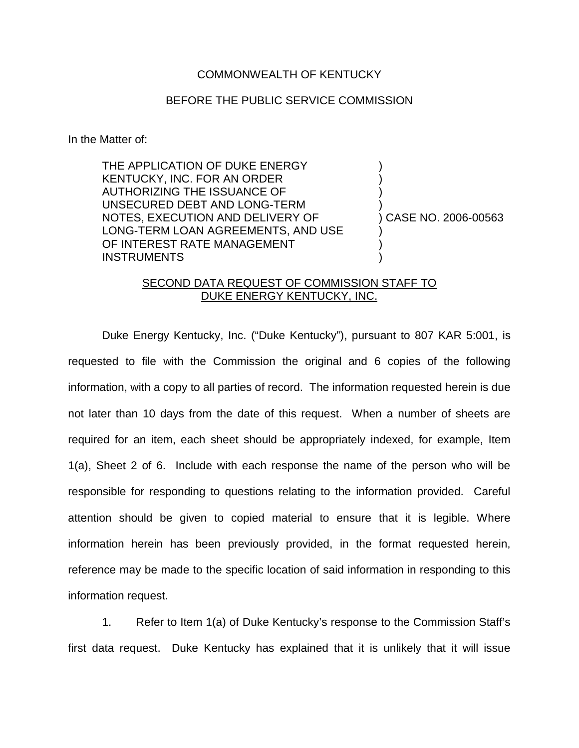## COMMONWEALTH OF KENTUCKY

## BEFORE THE PUBLIC SERVICE COMMISSION

In the Matter of:

THE APPLICATION OF DUKE ENERGY KENTUCKY, INC. FOR AN ORDER AUTHORIZING THE ISSUANCE OF UNSECURED DEBT AND LONG-TERM NOTES, EXECUTION AND DELIVERY OF LONG-TERM LOAN AGREEMENTS, AND USE OF INTEREST RATE MANAGEMENT **INSTRUMENTS** 

) CASE NO. 2006-00563

) ) ) )

) ) )

## SECOND DATA REQUEST OF COMMISSION STAFF TO DUKE ENERGY KENTUCKY, INC.

Duke Energy Kentucky, Inc. ("Duke Kentucky"), pursuant to 807 KAR 5:001, is requested to file with the Commission the original and 6 copies of the following information, with a copy to all parties of record. The information requested herein is due not later than 10 days from the date of this request. When a number of sheets are required for an item, each sheet should be appropriately indexed, for example, Item 1(a), Sheet 2 of 6. Include with each response the name of the person who will be responsible for responding to questions relating to the information provided. Careful attention should be given to copied material to ensure that it is legible. Where information herein has been previously provided, in the format requested herein, reference may be made to the specific location of said information in responding to this information request.

1. Refer to Item 1(a) of Duke Kentucky's response to the Commission Staff's first data request. Duke Kentucky has explained that it is unlikely that it will issue